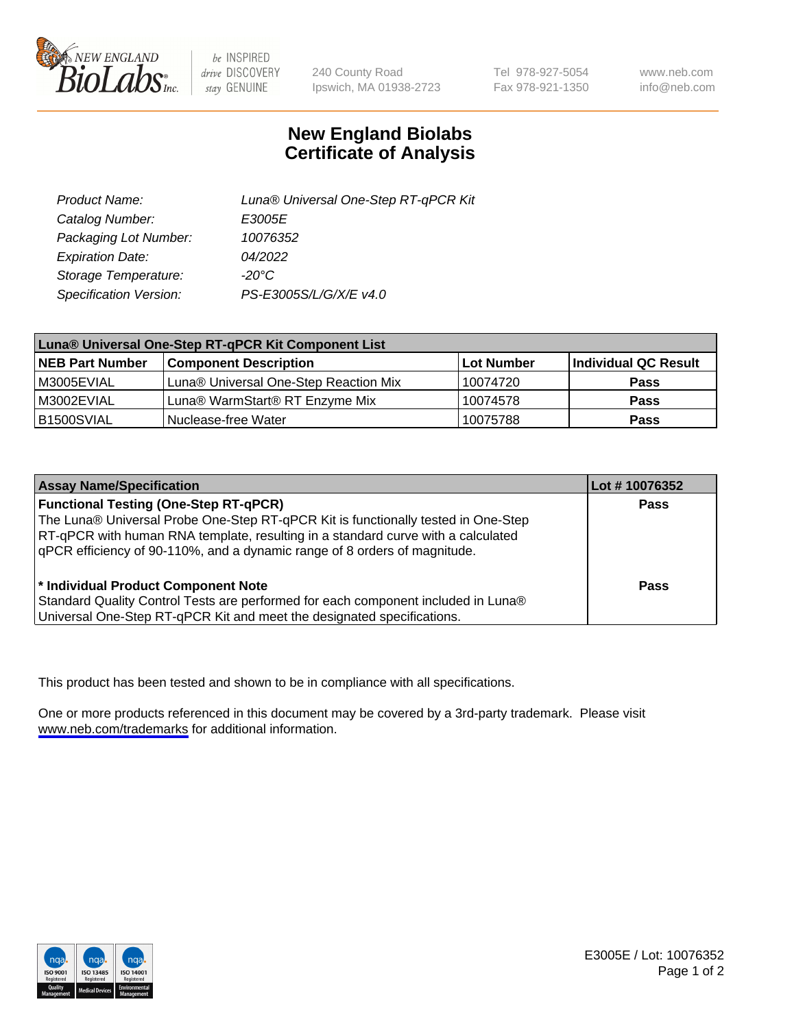

be INSPIRED drive DISCOVERY stay GENUINE

240 County Road Ipswich, MA 01938-2723 Tel 978-927-5054 Fax 978-921-1350

www.neb.com info@neb.com

## **New England Biolabs Certificate of Analysis**

| Product Name:           | Luna® Universal One-Step RT-qPCR Kit |  |
|-------------------------|--------------------------------------|--|
| Catalog Number:         | E3005E                               |  |
| Packaging Lot Number:   | 10076352                             |  |
| <b>Expiration Date:</b> | 04/2022                              |  |
| Storage Temperature:    | $-20^{\circ}$ C                      |  |
| Specification Version:  | PS-E3005S/L/G/X/E v4.0               |  |

| Luna® Universal One-Step RT-qPCR Kit Component List |                                       |              |                      |  |
|-----------------------------------------------------|---------------------------------------|--------------|----------------------|--|
| <b>NEB Part Number</b>                              | <b>Component Description</b>          | l Lot Number | Individual QC Result |  |
| IM3005EVIAL                                         | Luna® Universal One-Step Reaction Mix | 10074720     | Pass                 |  |
| IM3002EVIAL                                         | Luna® WarmStart® RT Enzyme Mix        | 10074578     | <b>Pass</b>          |  |
| B1500SVIAL                                          | Nuclease-free Water                   | 10075788     | <b>Pass</b>          |  |

| <b>Assay Name/Specification</b>                                                   | Lot #10076352 |
|-----------------------------------------------------------------------------------|---------------|
| <b>Functional Testing (One-Step RT-qPCR)</b>                                      | <b>Pass</b>   |
| The Luna® Universal Probe One-Step RT-qPCR Kit is functionally tested in One-Step |               |
| RT-qPCR with human RNA template, resulting in a standard curve with a calculated  |               |
| gPCR efficiency of 90-110%, and a dynamic range of 8 orders of magnitude.         |               |
| <sup>*</sup> Individual Product Component Note                                    | Pass          |
| Standard Quality Control Tests are performed for each component included in Luna® |               |
| Universal One-Step RT-qPCR Kit and meet the designated specifications.            |               |

This product has been tested and shown to be in compliance with all specifications.

One or more products referenced in this document may be covered by a 3rd-party trademark. Please visit <www.neb.com/trademarks>for additional information.